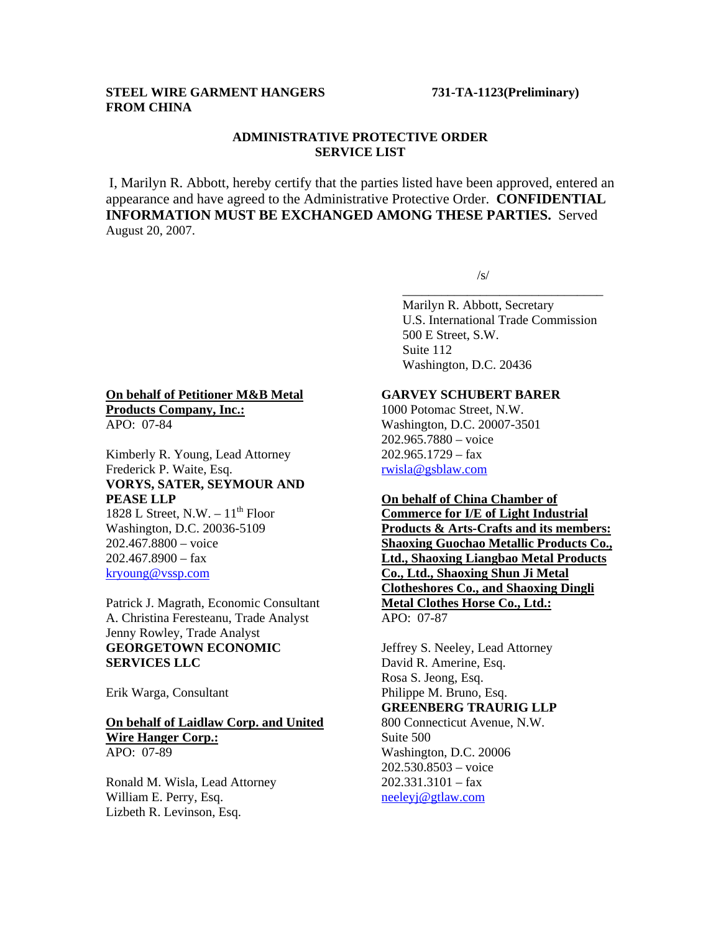## **STEEL WIRE GARMENT HANGERS 731-TA-1123(Preliminary) FROM CHINA**

## **ADMINISTRATIVE PROTECTIVE ORDER SERVICE LIST**

I, Marilyn R. Abbott, hereby certify that the parties listed have been approved, entered an appearance and have agreed to the Administrative Protective Order. **CONFIDENTIAL INFORMATION MUST BE EXCHANGED AMONG THESE PARTIES.** Served August 20, 2007.

 $\overline{\phantom{a}}$  , and the contract of the contract of the contract of the contract of the contract of the contract of the contract of the contract of the contract of the contract of the contract of the contract of the contrac

 $\sqrt{s}$ /s/

 Marilyn R. Abbott, Secretary U.S. International Trade Commission 500 E Street, S.W. Suite 112 Washington, D.C. 20436

# **On behalf of Petitioner M&B Metal Products Company, Inc.:**

APO: 07-84

Kimberly R. Young, Lead Attorney Frederick P. Waite, Esq. **VORYS, SATER, SEYMOUR AND PEASE LLP** 1828 L Street, N.W.  $-11^{th}$  Floor

Washington, D.C. 20036-5109 202.467.8800 – voice  $202.467.8900 - fax$ kryoung@vssp.com

Patrick J. Magrath, Economic Consultant A. Christina Feresteanu, Trade Analyst Jenny Rowley, Trade Analyst **GEORGETOWN ECONOMIC SERVICES LLC**

Erik Warga, Consultant

#### **On behalf of Laidlaw Corp. and United Wire Hanger Corp.:**

APO: 07-89

Ronald M. Wisla, Lead Attorney William E. Perry, Esq. Lizbeth R. Levinson, Esq.

## **GARVEY SCHUBERT BARER**

1000 Potomac Street, N.W. Washington, D.C. 20007-3501 202.965.7880 – voice 202.965.1729 – fax rwisla@gsblaw.com

#### **On behalf of China Chamber of**

**Commerce for I/E of Light Industrial Products & Arts-Crafts and its members: Shaoxing Guochao Metallic Products Co., Ltd., Shaoxing Liangbao Metal Products Co., Ltd., Shaoxing Shun Ji Metal Clotheshores Co., and Shaoxing Dingli Metal Clothes Horse Co., Ltd.:** APO: 07-87

Jeffrey S. Neeley, Lead Attorney David R. Amerine, Esq. Rosa S. Jeong, Esq. Philippe M. Bruno, Esq. **GREENBERG TRAURIG LLP** 800 Connecticut Avenue, N.W. Suite 500 Washington, D.C. 20006 202.530.8503 – voice  $202.331.3101 - fax$ neeleyj@gtlaw.com